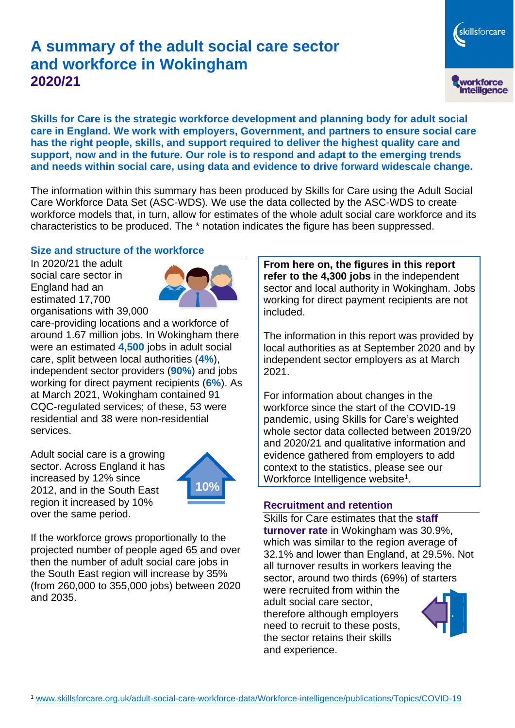# **A summary of the adult social care sector and workforce in Wokingham 2020/21**

**Skills for Care is the strategic workforce development and planning body for adult social care in England. We work with employers, Government, and partners to ensure social care has the right people, skills, and support required to deliver the highest quality care and support, now and in the future. Our role is to respond and adapt to the emerging trends and needs within social care, using data and evidence to drive forward widescale change.**

The information within this summary has been produced by Skills for Care using the Adult Social Care Workforce Data Set (ASC-WDS). We use the data collected by the ASC-WDS to create workforce models that, in turn, allow for estimates of the whole adult social care workforce and its characteristics to be produced. The \* notation indicates the figure has been suppressed.

### **Size and structure of the workforce**

In 2020/21 the adult social care sector in England had an estimated 17,700 organisations with 39,000



care-providing locations and a workforce of around 1.67 million jobs. In Wokingham there were an estimated **4,500** jobs in adult social care, split between local authorities (**4%**), independent sector providers (**90%**) and jobs working for direct payment recipients (**6%**). As at March 2021, Wokingham contained 91 CQC-regulated services; of these, 53 were residential and 38 were non-residential services.

Adult social care is a growing sector. Across England it has increased by 12% since 2012, and in the South East region it increased by 10% over the same period.



If the workforce grows proportionally to the projected number of people aged 65 and over then the number of adult social care jobs in the South East region will increase by 35% (from 260,000 to 355,000 jobs) between 2020 and 2035.

**From here on, the figures in this report refer to the 4,300 jobs** in the independent sector and local authority in Wokingham. Jobs working for direct payment recipients are not included.

The information in this report was provided by local authorities as at September 2020 and by independent sector employers as at March 2021.

For information about changes in the workforce since the start of the COVID-19 pandemic, using Skills for Care's weighted whole sector data collected between 2019/20 and 2020/21 and qualitative information and evidence gathered from employers to add context to the statistics, please see our Workforce Intelligence website<sup>1</sup>.

#### **Recruitment and retention**

Skills for Care estimates that the **staff turnover rate** in Wokingham was 30.9%, which was similar to the region average of 32.1% and lower than England, at 29.5%. Not all turnover results in workers leaving the sector, around two thirds (69%) of starters

were recruited from within the adult social care sector, therefore although employers need to recruit to these posts, the sector retains their skills and experience.



skillsforcare

workforce<br>intelligence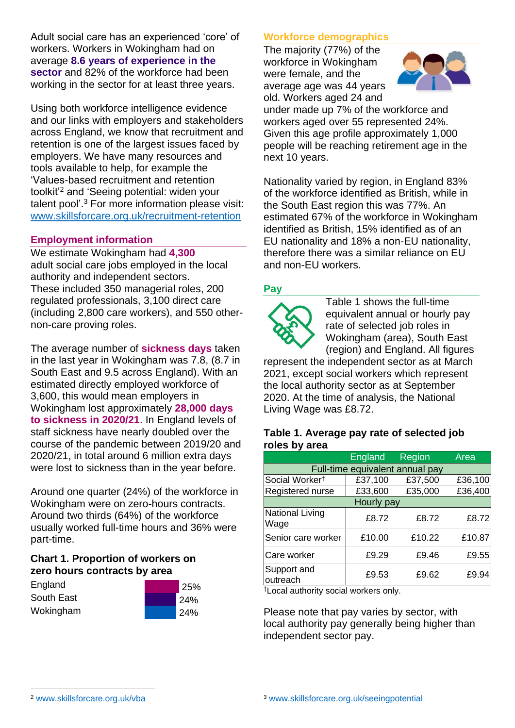Adult social care has an experienced 'core' of workers. Workers in Wokingham had on average **8.6 years of experience in the sector** and 82% of the workforce had been working in the sector for at least three years.

Using both workforce intelligence evidence and our links with employers and stakeholders across England, we know that recruitment and retention is one of the largest issues faced by employers. We have many resources and tools available to help, for example the 'Values-based recruitment and retention toolkit'<sup>2</sup> and 'Seeing potential: widen your talent pool'. <sup>3</sup> For more information please visit: [www.skillsforcare.org.uk/recruitment-retention](http://www.skillsforcare.org.uk/recruitment-retention)

### **Employment information**

We estimate Wokingham had **4,300** adult social care jobs employed in the local authority and independent sectors. These included 350 managerial roles, 200 regulated professionals, 3,100 direct care (including 2,800 care workers), and 550 othernon-care proving roles.

The average number of **sickness days** taken in the last year in Wokingham was 7.8, (8.7 in South East and 9.5 across England). With an estimated directly employed workforce of 3,600, this would mean employers in Wokingham lost approximately **28,000 days to sickness in 2020/21**. In England levels of staff sickness have nearly doubled over the course of the pandemic between 2019/20 and 2020/21, in total around 6 million extra days were lost to sickness than in the year before.

Around one quarter (24%) of the workforce in Wokingham were on zero-hours contracts. Around two thirds (64%) of the workforce usually worked full-time hours and 36% were part-time.

### **Chart 1. Proportion of workers on zero hours contracts by area**

| England    | 25%        |
|------------|------------|
| South East | <b>24%</b> |
| Wokingham  | 24%        |

### **Workforce demographics**

The majority (77%) of the workforce in Wokingham were female, and the average age was 44 years old. Workers aged 24 and



under made up 7% of the workforce and workers aged over 55 represented 24%. Given this age profile approximately 1,000 people will be reaching retirement age in the next 10 years.

Nationality varied by region, in England 83% of the workforce identified as British, while in the South East region this was 77%. An estimated 67% of the workforce in Wokingham identified as British, 15% identified as of an EU nationality and 18% a non-EU nationality, therefore there was a similar reliance on EU and non-EU workers.

#### **Pay**



Table 1 shows the full-time equivalent annual or hourly pay rate of selected job roles in Wokingham (area), South East (region) and England. All figures

represent the independent sector as at March 2021, except social workers which represent the local authority sector as at September 2020. At the time of analysis, the National Living Wage was £8.72.

#### **Table 1. Average pay rate of selected job roles by area**

|                                 | England | Region  | Area    |
|---------------------------------|---------|---------|---------|
| Full-time equivalent annual pay |         |         |         |
| Social Worker <sup>t</sup>      | £37,100 | £37,500 | £36,100 |
| Registered nurse                | £33,600 | £35,000 | £36,400 |
| Hourly pay                      |         |         |         |
| <b>National Living</b><br>Wage  | £8.72   | £8.72   | £8.72   |
| Senior care worker              | £10.00  | £10.22  | £10.87  |
| Care worker                     | £9.29   | £9.46   | £9.55   |
| Support and<br>outreach         | £9.53   | £9.62   | £9.94   |

†Local authority social workers only.

Please note that pay varies by sector, with local authority pay generally being higher than independent sector pay.

[www.skillsforcare.org.uk/vba](http://www.skillsforcare.org.uk/vba)